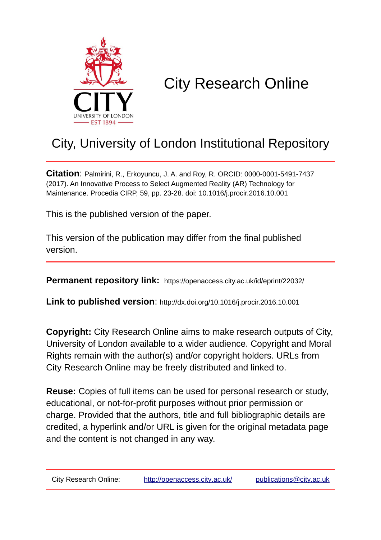

# City Research Online

## City, University of London Institutional Repository

**Citation**: Palmirini, R., Erkoyuncu, J. A. and Roy, R. ORCID: 0000-0001-5491-7437 (2017). An Innovative Process to Select Augmented Reality (AR) Technology for Maintenance. Procedia CIRP, 59, pp. 23-28. doi: 10.1016/j.procir.2016.10.001

This is the published version of the paper.

This version of the publication may differ from the final published version.

**Permanent repository link:** https://openaccess.city.ac.uk/id/eprint/22032/

**Link to published version**: http://dx.doi.org/10.1016/j.procir.2016.10.001

**Copyright:** City Research Online aims to make research outputs of City, University of London available to a wider audience. Copyright and Moral Rights remain with the author(s) and/or copyright holders. URLs from City Research Online may be freely distributed and linked to.

**Reuse:** Copies of full items can be used for personal research or study, educational, or not-for-profit purposes without prior permission or charge. Provided that the authors, title and full bibliographic details are credited, a hyperlink and/or URL is given for the original metadata page and the content is not changed in any way.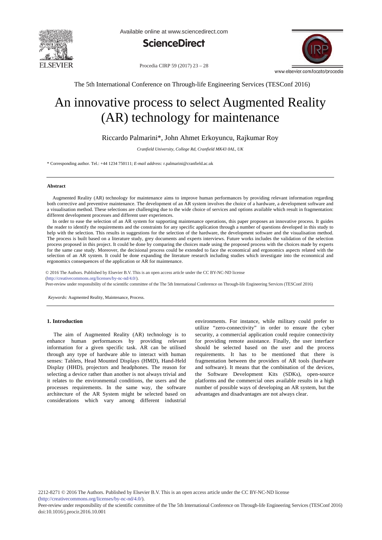

Available online at www.sciencedirect.com



Procedia CIRP 59 (2017) 23 - 28



The 5th International Conference on Through-life Engineering Services (TESConf 2016)

### An innovative process to select Augmented Reality (AR) technology for maintenance

### Riccardo Palmarini\*, John Ahmet Erkoyuncu, Rajkumar Roy

*Cranfield University, College Rd, Cranfield MK43 0AL, UK* 

\* Corresponding author. Tel.: +44 1234 750111; *E-mail address:* r.palmarini@cranfield.ac.uk

#### **Abstract**

Augmented Reality (AR) technology for maintenance aims to improve human performances by providing relevant information regarding both corrective and preventive maintenance. The development of an AR system involves the choice of a hardware, a development software and a visualisation method. These selections are challenging due to the wide choice of services and options available which result in fragmentation: different development processes and different user experiences.

In order to ease the selection of an AR system for supporting maintenance operations, this paper proposes an innovative process. It guides the reader to identify the requirements and the constraints for any specific application through a number of questions developed in this study to help with the selection. This results in suggestions for the selection of the hardware, the development software and the visualisation method. The process is built based on a literature study, grey documents and experts interviews. Future works includes the validation of the selection process proposed in this project. It could be done by comparing the choices made using the proposed process with the choices made by experts for the same case study. Moreover, the decisional process could be extended to face the economical and ergonomics aspects related with the selection of an AR system. It could be done expanding the literature research including studies which investigate into the economical and ergonomics consequences of the application or AR for maintenance.

© 2016 The Authors. Published by Elsevier B.V. © 2016 The Authors. Published by Elsevier B.V. This is an open access article under the CC BY-NC-ND license (http://creativecommons.org/licenses/by-nc-nd/4.0/). Peer-review under responsibility of the scientific committee of the The 5th International Conference on Through-life Engineering Services (TESConf 2016)

*Keywords:* Augmented Reality, Maintenance, Process.

#### **1. Introduction**

The aim of Augmented Reality (AR) technology is to enhance human performances by providing relevant information for a given specific task. AR can be utilised through any type of hardware able to interact with human senses: Tablets, Head Mounted Displays (HMD), Hand-Held Display (HHD), projectors and headphones. The reason for selecting a device rather than another is not always trivial and it relates to the environmental conditions, the users and the processes requirements. In the same way, the software architecture of the AR System might be selected based on considerations which vary among different industrial environments. For instance, while military could prefer to utilize "zero-connectivity" in order to ensure the cyber security, a commercial application could require connectivity for providing remote assistance. Finally, the user interface should be selected based on the user and the process requirements. It has to be mentioned that there is fragmentation between the providers of AR tools (hardware and software). It means that the combination of the devices, the Software Development Kits (SDKs), open-source platforms and the commercial ones available results in a high number of possible ways of developing an AR system, but the advantages and disadvantages are not always clear.

2212-8271 © 2016 The Authors. Published by Elsevier B.V. This is an open access article under the CC BY-NC-ND license (http://creativecommons.org/licenses/by-nc-nd/4.0/).

Peer-review under responsibility of the scientific committee of the The 5th International Conference on Through-life Engineering Services (TESConf 2016) doi: 10.1016/j.procir.2016.10.001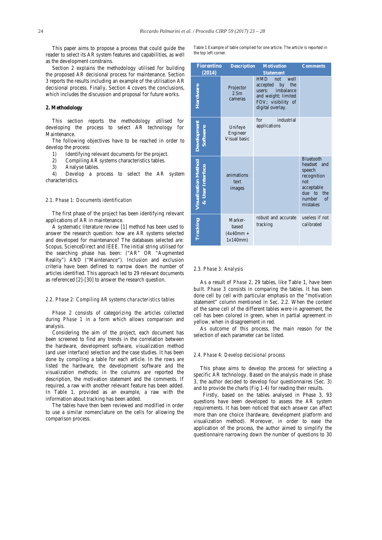This paper aims to propose a process that could guide the reader to select its AR system features and capabilities, as well as the development constrains.

Section 2 explains the methodology utilised for building the proposed AR decisional process for maintenance. Section 3 reports the results including an example of the utilisation AR decisional process. Finally, Section 4 covers the conclusions, which includes the discussion and proposal for future works.

#### **2. Methodology**

This section reports the methodology utilised for developing the process to select AR technology for Maintenance.

The following objectives have to be reached in order to develop the process:

- 1) Identifying relevant documents for the project.
- 2) Compiling AR systems characteristics tables.
- 3) Analyse tables.

4) Develop a process to select the AR system characteristics.

#### *2.1. Phase 1: Documents identification*

The first phase of the project has been identifying relevant applications of AR in maintenance.

A systematic literature review [1] method has been used to answer the research question: how are AR systems selected and developed for maintenance? The databases selected are: Scopus, ScienceDirect and IEEE. The initial string utilised for the searching phase has been: ("AR" OR "Augmented Reality") AND ("Maintenance"). Inclusion and exclusion criteria have been defined to narrow down the number of articles identified. This approach led to 29 relevant documents as referenced [2]-[30] to answer the research question.

#### *2.2. Phase 2: Compiling AR systems characteristics tables*

*Phase 2* consists of categorizing the articles collected during *Phase 1* in a form which allows comparison and analysis.

Considering the aim of the project, each document has been screened to find any trends in the correlation between the hardware, development software, visualization method (and user interface) selection and the case studies. It has been done by compiling a table for each article. In the rows are listed the hardware, the development software and the visualization methods; in the columns are reported the description, the motivation statement and the comments. If required, a raw with another relevant feature has been added. In Table 1, provided as an example, a raw with the information about tracking has been added.

The tables have then been reviewed and modified in order to use a similar nomenclature on the cells for allowing the comparison process.

Table 1 Example of table compiled for one article. The article is reported in the top left corner.

| <b>Fiorentino</b><br>(2014)           | <b>Description</b>                          | <b>Motivation</b><br><b>Statement</b>                                                                                                       | <b>Comments</b>                                                                                                                      |
|---------------------------------------|---------------------------------------------|---------------------------------------------------------------------------------------------------------------------------------------------|--------------------------------------------------------------------------------------------------------------------------------------|
| <u>rrdware</u>                        | Projector<br>2.5 <sub>m</sub><br>cameras    | <b>HMD</b><br>well<br>not.<br>accepted<br>by<br>the<br>imbalance<br>users:<br>and weight; limited<br>FOV; visibility of<br>digital overlay. |                                                                                                                                      |
| <b>Jevelopmen</b>                     | Unifeye<br>Engineer<br>Visual basic         | industrial<br>for<br>applications                                                                                                           |                                                                                                                                      |
| sualisation<br>Meth<br>& User Interfa | animations<br>text<br>images                |                                                                                                                                             | Bluetooth<br>headset<br>and<br>speech<br>recognition<br>not<br>acceptable<br>due<br>the<br>$\mathsf{to}$<br>number<br>of<br>mistakes |
|                                       | Marker-<br>based<br>$(4x40mm +$<br>1x140mm) | robust and accurate<br>tracking                                                                                                             | useless if not<br>calibrated                                                                                                         |

#### *2.3. Phase 3: Analysis*

As a result of *Phase 2*, 29 tables, like Table 1, have been built. *Phase 3* consists in comparing the tables. It has been done cell by cell with particular emphasis on the "motivation statement" column mentioned in Sec. 2.2. When the content of the same cell of the different tables were in agreement, the cell has been colored in green, when in partial agreement in yellow, when in disagreement in red.

As outcome of this process, the main reason for the selection of each parameter can be listed.

#### *2.4. Phase 4: Develop decisional process*

This phase aims to develop the process for selecting a specific AR technology. Based on the analysis made in phase 3, the author decided to develop four questionnaires (Sec. 3) and to provide the charts (Fig 1-4) for reading their results.

 Firstly, based on the tables analysed in Phase 3, 93 questions have been developed to assess the AR system requirements. It has been noticed that each answer can affect more than one choice (hardware, development platform and visualization method). Moreover, in order to ease the application of the process, the author aimed to simplify the questionnaire narrowing down the number of questions to 30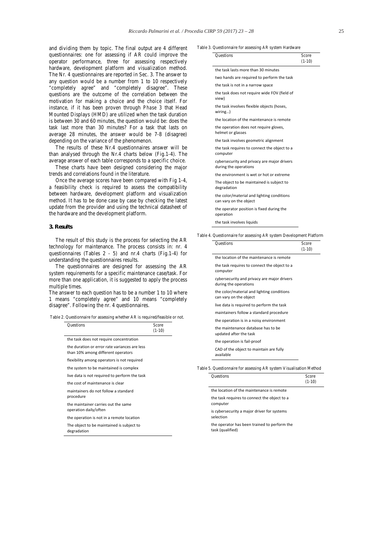and dividing them by topic. The final output are 4 different questionnaires: one for assessing if AR could improve the operator performance, three for assessing respectively hardware, development platform and visualization method. The Nr. 4 questionnaires are reported in Sec. 3. The answer to any question would be a number from 1 to 10 respectively "completely agree" and "completely disagree". These questions are the outcome of the correlation between the motivation for making a choice and the choice itself. For instance, if it has been proven through *Phase 3* that Head Mounted Displays (HMD) are utilized when the task duration is between 30 and 60 minutes, the question would be: does the task last more than 30 minutes? For a task that lasts on average 28 minutes, the answer would be 7-8 (disagree) depending on the variance of the phenomenon.

The results of these Nr.4 questionnaires answer will be than analysed through the Nr.4 charts below (Fig.1-4). The average answer of each table corresponds to a specific choice.

These charts have been designed considering the major trends and correlations found in the literature.

Once the average scores have been compared with Fig 1-4, a feasibility check is required to assess the compatibility between hardware, development platform and visualization method. It has to be done case by case by checking the latest update from the provider and using the technical datasheet of the hardware and the development platform.

#### **3. Results**

The result of this study is the process for selecting the AR technology for maintenance. The process consists in: nr. 4 questionnaires (Tables 2 - 5) and nr.4 charts (Fig.1-4) for understanding the questionnaires results.

The questionnaires are designed for assessing the AR system requirements for a specific maintenance case/task. For more than one application, it is suggested to apply the process multiple times.

The answer to each question has to be a number 1 to 10 where 1 means "completely agree" and 10 means "completely disagree". Following the nr. 4 questionnaires.

Table 2. Questionnaire for assessing whether AR is required/feasible or not.

| <b>Questions</b>                                                                    | Score    |
|-------------------------------------------------------------------------------------|----------|
|                                                                                     | $(1-10)$ |
| the task does not require concentration                                             |          |
| the duration or error rate variances are less<br>than 10% among different operators |          |
| flexibility among operators is not required                                         |          |
| the system to be maintained is complex                                              |          |
| live data is not required to perform the task                                       |          |
| the cost of maintenance is clear                                                    |          |
| maintainers do not follow a standard<br>procedure                                   |          |
| the maintainer carries out the same<br>operation daily/often                        |          |
| the operation is not in a remote location                                           |          |
| The object to be maintained is subject to<br>degradation                            |          |

#### Table 3. Questionnaire for assessing AR system Hardware

| <b>Questions</b>                                                     | Score    |
|----------------------------------------------------------------------|----------|
|                                                                      | $(1-10)$ |
| the task lasts more than 30 minutes                                  |          |
| two hands are required to perform the task                           |          |
| the task is not in a narrow space                                    |          |
| the task does not require wide FOV (field of<br>view)                |          |
| the task involves flexible objects (hoses,<br>wiring)                |          |
| the location of the maintenance is remote                            |          |
| the operation does not require gloves,<br>helmet or glasses          |          |
| the task involves geometric alignment                                |          |
| the task requires to connect the object to a<br>computer             |          |
| cybersecurity and privacy are major drivers<br>during the operations |          |
| the environment is wet or hot or extreme                             |          |
| The object to be maintained is subject to<br>degradation             |          |
| the color/material and lighting conditions<br>can vary on the object |          |
| the operator position is fixed during the<br>operation               |          |
| the task involves liquids                                            |          |
|                                                                      |          |

Table 4. Questionnaire for assessing AR system Development Platform

| <b>Questions</b>                                                     | Score<br>$(1-10)$ |
|----------------------------------------------------------------------|-------------------|
| the location of the maintenance is remote                            |                   |
| the task requires to connect the object to a<br>computer             |                   |
| cybersecurity and privacy are major drivers<br>during the operations |                   |
| the color/material and lighting conditions<br>can vary on the object |                   |
| live data is required to perform the task                            |                   |
| maintainers follow a standard procedure                              |                   |
| the operation is in a noisy environment                              |                   |
| the maintenance database has to be<br>updated after the task         |                   |
| the operation is fail-proof                                          |                   |
| CAD of the object to maintain are fully<br>available                 |                   |

Table 5. Questionnaire for assessing AR system Visualisation Method

| <b>Ouestions</b>                                                 | Score<br>$(1-10)$ |
|------------------------------------------------------------------|-------------------|
| the location of the maintenance is remote                        |                   |
| the task requires to connect the object to a<br>computer         |                   |
| is cybersecurity a major driver for systems<br>selection         |                   |
| the operator has been trained to perform the<br>task (qualified) |                   |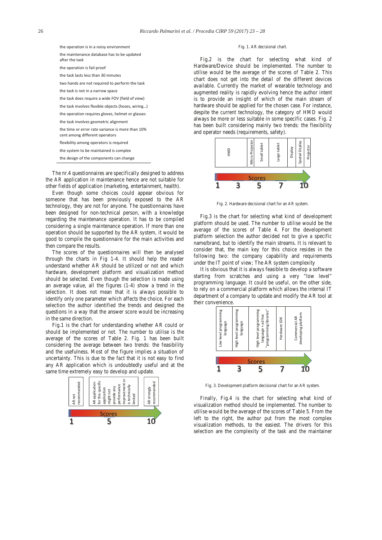| the operation is in a noisy environment                                            |
|------------------------------------------------------------------------------------|
| the maintenance database has to be updated<br>after the task                       |
| the operation is fail-proof                                                        |
| the task lasts less than 30 minutes                                                |
| two hands are not required to perform the task                                     |
| the task is not in a narrow space                                                  |
| the task does require a wide FOV (field of view)                                   |
| the task involves flexible objects (hoses, wiring)                                 |
| the operation requires gloves, helmet or glasses                                   |
| the task involves geometric alignment                                              |
| the time or error rate variance is more than 10%<br>cent among different operators |
| flexibility among operators is required                                            |
| the system to be maintained is complex                                             |
| the design of the components can change                                            |

The nr.4 questionnaires are specifically designed to address the AR application in maintenance hence are not suitable for other fields of application (marketing, entertainment, health).

Even though some choices could appear obvious for someone that has been previously exposed to the AR technology, they are not for anyone. The questionnaires have been designed for non-technical person, with a knowledge regarding the maintenance operation. It has to be compiled considering a single maintenance operation. If more than one operation should be supported by the AR system, it would be good to compile the questionnaire for the main activities and then compare the results.

The scores of the questionnaires will then be analysed through the charts in Fig 1-4. It should help the reader understand whether AR should be utilized or not and which hardware, development platform and visualization method should be selected. Even though the selection is made using an average value, all the figures (1-4) show a trend in the selection. It does not mean that it is always possible to identify only one parameter which affects the choice. For each selection the author identified the trends and designed the questions in a way that the answer score would be increasing in the same direction.

Fig.1 is the chart for understanding whether AR could or should be implemented or not. The number to utilise is the average of the scores of Table 2. Fig. 1 has been built considering the average between two trends: the feasibility and the usefulness. Most of the figure implies a situation of uncertainty. This is due to the fact that it is not easy to find any AR application which is undoubtedly useful and at the same time extremely easy to develop and update.



#### Fig. 1. AR decisional chart.

Fig.2 is the chart for selecting what kind of Hardware/Device should be implemented. The number to utilise would be the average of the scores of Table 2. This chart does not get into the detail of the different devices available. Currently the market of wearable technology and augmented reality is rapidly evolving hence the author intent is to provide an insight of which of the main stream of hardware should be applied for the chosen case. For instance, despite the current technology, the category of HMD would always be more or less suitable in some specific cases. Fig. 2 has been built considering mainly two trends: the flexibility and operator needs (requirements, safety).



Fig. 2. Hardware decisional chart for an AR system.

Fig.3 is the chart for selecting what kind of development platform should be used. The number to utilise would be the average of the scores of Table 4. For the development platform selection the author decided not to give a specific name/brand, but to identify the main streams. It is relevant to consider that, the main key for this choice resides in the following two: the company capability and requirements under the IT point of view; The AR system complexity

It is obvious that it is always feasible to develop a software starting from scratches and using a very "low level" programming language. It could be useful, on the other side, to rely on a commercial platform which allows the internal IT department of a company to update and modify the AR tool at their convenience



Fig. 3. Development platform decisional chart for an AR system.

Finally, Fig.4 is the chart for selecting what kind of visualization method should be implemented. The number to utilise would be the average of the scores of Table 5. From the left to the right, the author put from the most complex visualization methods, to the easiest. The drivers for this selection are the complexity of the task and the maintainer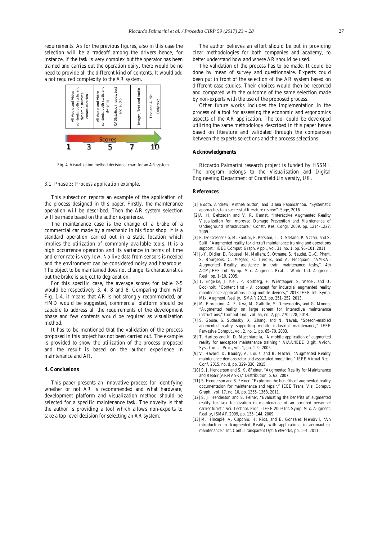requirements. As for the previous figures, also in this case the selection will be a tradeoff among the drivers hence, for instance, if the task is very complex but the operator has been trained and carries out the operation daily, there would be no need to provide all the different kind of contents. It would add a not required complexity to the AR system.



Fig. 4. Visualization method decisional chart for an AR system.

#### *3.1. Phase 3: Process application example.*

This subsection reports an example of the application of the process designed in this paper. Firstly, the maintenance operation will be described. Then the AR system selection will be made based on the author experience.

The maintenance case is the change of a brake of a commercial car made by a mechanic in his floor shop. It is a standard operation carried out in a static location which implies the utilization of commonly available tools. It is a high occurrence operation and its variance in terms of time and error rate is very low. No live data from sensors is needed and the environment can be considered noisy and hazardous. The object to be maintained does not change its characteristics but the brake is subject to degradation.

For this specific case, the average scores for table 2-5 would be respectively 3, 4, 8 and 8. Comparing them with Fig. 1-4, it means that AR is not strongly recommended, an HMD would be suggested, commercial platform should be capable to address all the requirements of the development phase and few contents would be required as visualization method.

It has to be mentioned that the validation of the process proposed in this project has not been carried out. The example is provided to show the utilization of the process proposed and the result is based on the author experience in maintenance and AR.

#### **4. Conclusions**

This paper presents an innovative process for identifying whether or not AR is recommended and what hardware, development platform and visualization method should be selected for a specific maintenance task. The novelty is that the author is providing a tool which allows non-experts to take a top level decision for selecting an AR system.

The author believes an effort should be put in providing clear methodologies for both companies and academy, to better understand how and where AR should be used.

The validation of the process has to be made. It could be done by mean of survey and questionnaire. Experts could been put in front of the selection of the AR system based on different case studies. Their choices would then be recorded and compared with the outcome of the same selection made by non-experts with the use of the proposed process.

Other future works includes the implementation in the process of a tool for assessing the economic and ergonomics aspects of the AR application. The tool could be developed utilizing the same methodology described in this paper hence based on literature and validated through the comparison between the experts selections and the process selections.

#### **Acknowledgments**

Riccardo Palmarini research project is funded by HSSMI. The program belongs to the Visualisation and Digital Engineering Department of Cranfield University, UK.

#### **References**

- [1] Booth, Andrew, Anthea Sutton, and Diana Papaioannou. "Systematic approaches to a successful literature review". Sage, 2016.
- [2] A. H. Behzadan and V. R. Kamat, "Interactive Augmented Reality Visualization for Improved Damage Prevention and Maintenance of Underground Infrastructure," Constr. Res. Congr. 2009, pp. 1214–1222, 2009.
- [3] F. De Crescenzio, M. Fantini, F. Persiani, L. Di Stefano, P. Azzari, and S. Salti, "Augmented reality for aircraft maintenance training and operations support," IEEE Comput. Graph. Appl., vol. 31, no. 1, pp. 96–101, 2011.
- [4] J.-Y. Didier, D. Roussel, M. Mallem, S. Otmane, S. Naudet, Q.-C. Pham, S. Bourgeois, C. Mégard, C. Leroux, and A. Hocquard, "AMRA : Augmented Reality assistance in train maintenance tasks," 4th ACM/IEEE Int. Symp. Mix. Augment. Real. - Work. Ind. Augment. Real., pp. 1–10, 2005.
- [5] T. Engelke, J. Keil, P. Rojtberg, F. Wientapper, S. Webel, and U. Bockholt, "Content first - A concept for industrial augmented reality maintenance applications using mobile devices," 2013 IEEE Int. Symp. Mix. Augment. Reality, ISMAR 2013, pp. 251–252, 2013.
- [6] M. Fiorentino, A. E. Uva, M. Gattullo, S. Debernardis, and G. Monno, "Augmented reality on large screen for interactive maintenance instructions," Comput. Ind., vol. 65, no. 2, pp. 270–278, 2014.
- [7] S. Goose, S. Sudarsky, X. Zhang, and N. Navab, "Speech-enabled augmented reality supporting mobile industrial maintenance," IEEE Pervasive Comput., vol. 2, no. 1, pp. 65–70, 2003.
- [8] T. Haritos and N. D. Macchiarella, "A mobile application of augmented reality for aerospace maintenance training," AIAA/IEEE Digit. Avion. Syst. Conf. - Proc., vol. 1, pp. 1–9, 2005.
- [9] V. Havard, D. Baudry, A. Louis, and B. Mazari, "Augmented Reality maintenance demonstrator and associated modelling," IEEE Virtual Real. Conf. 2015, no. d, pp. 329–330, 2015.
- [10] S. J. Henderson and S. K. 8Feiner, "Augmented Reality for Maintenance and Repair (ARMA9R)," Distribution, p. 62, 2007.
- [11] S. Henderson and S. Feiner, "Exploring the benefits of augmented reality documentation for maintenance and repair," IEEE Trans. Vis. Comput. Graph., vol. 17, no. 10, pp. 1355–1368, 2011.
- [12] S. J. Henderson and S. Feiner, "Evaluating the benefits of augmented reality for task localization in maintenance of an armored personnel carrier turret," Sci. Technol. Proc. - IEEE 2009 Int. Symp. Mix. Augment. Reality, ISMAR 2009, pp. 135–144, 2009.
- [13] M. Hincapié, A. Caponio, H. Rios, and E. González Mendívil, "An introduction to Augmented Reality with applications in aeronautical maintenance," Int. Conf. Transparent Opt. Networks, pp. 1–4, 2011.